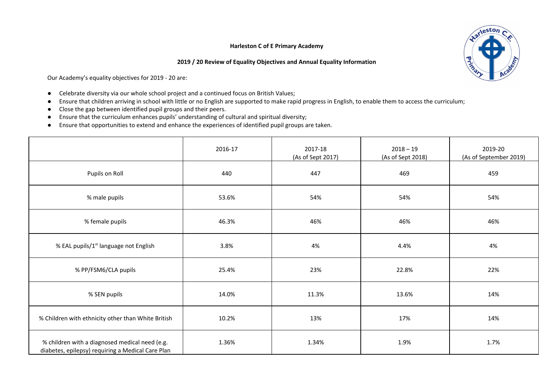## **Harleston C of E Primary Academy**

## **2019 / 20 Review of Equality Objectives and Annual Equality Information**



Our Academy's equality objectives for 2019 - 20 are:

- Celebrate diversity via our whole school project and a continued focus on British Values;
- Ensure that children arriving in school with little or no English are supported to make rapid progress in English, to enable them to access the curriculum;
- Close the gap between identified pupil groups and their peers.
- Ensure that the curriculum enhances pupils' understanding of cultural and spiritual diversity;
- Ensure that opportunities to extend and enhance the experiences of identified pupil groups are taken.

|                                                                                                     | 2016-17 | 2017-18<br>(As of Sept 2017) | $2018 - 19$<br>(As of Sept 2018) | 2019-20<br>(As of September 2019) |
|-----------------------------------------------------------------------------------------------------|---------|------------------------------|----------------------------------|-----------------------------------|
| Pupils on Roll                                                                                      | 440     | 447                          | 469                              | 459                               |
| % male pupils                                                                                       | 53.6%   | 54%                          | 54%                              | 54%                               |
| % female pupils                                                                                     | 46.3%   | 46%                          | 46%                              | 46%                               |
| % EAL pupils/1 <sup>st</sup> language not English                                                   | 3.8%    | 4%                           | 4.4%                             | 4%                                |
| % PP/FSM6/CLA pupils                                                                                | 25.4%   | 23%                          | 22.8%                            | 22%                               |
| % SEN pupils                                                                                        | 14.0%   | 11.3%                        | 13.6%                            | 14%                               |
| % Children with ethnicity other than White British                                                  | 10.2%   | 13%                          | 17%                              | 14%                               |
| % children with a diagnosed medical need (e.g.<br>diabetes, epilepsy) requiring a Medical Care Plan | 1.36%   | 1.34%                        | 1.9%                             | 1.7%                              |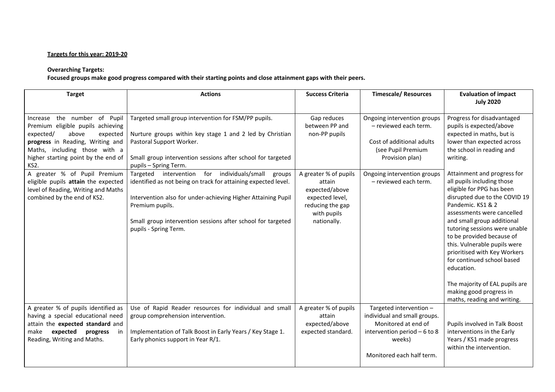## **Targets for this year: 2019-20**

## **Overarching Targets:**

Focused groups make good progress compared with their starting points and close attainment gaps with their peers.

| <b>Target</b>                                                                                                                                                                                                                                                                                                                                                              | <b>Actions</b>                                                                                                                                                                                                                                                                                                                                                                                                                                                                                                                                | <b>Success Criteria</b>                                                                                                                                                  | <b>Timescale/ Resources</b>                                                                                                                                                        | <b>Evaluation of impact</b><br><b>July 2020</b>                                                                                                                                                                                                                                                                                                                                                                                                                                                                                                                                                                                              |
|----------------------------------------------------------------------------------------------------------------------------------------------------------------------------------------------------------------------------------------------------------------------------------------------------------------------------------------------------------------------------|-----------------------------------------------------------------------------------------------------------------------------------------------------------------------------------------------------------------------------------------------------------------------------------------------------------------------------------------------------------------------------------------------------------------------------------------------------------------------------------------------------------------------------------------------|--------------------------------------------------------------------------------------------------------------------------------------------------------------------------|------------------------------------------------------------------------------------------------------------------------------------------------------------------------------------|----------------------------------------------------------------------------------------------------------------------------------------------------------------------------------------------------------------------------------------------------------------------------------------------------------------------------------------------------------------------------------------------------------------------------------------------------------------------------------------------------------------------------------------------------------------------------------------------------------------------------------------------|
| the number<br>of Pupil<br>Increase<br>Premium eligible pupils achieving<br>expected/<br>above<br>expected<br>progress in Reading, Writing and<br>Maths, including those with a<br>higher starting point by the end of<br>KS2.<br>A greater % of Pupil Premium<br>eligible pupils attain the expected<br>level of Reading, Writing and Maths<br>combined by the end of KS2. | Targeted small group intervention for FSM/PP pupils.<br>Nurture groups within key stage 1 and 2 led by Christian<br>Pastoral Support Worker.<br>Small group intervention sessions after school for targeted<br>pupils - Spring Term.<br>for individuals/small<br>Targeted intervention<br>groups<br>identified as not being on track for attaining expected level.<br>Intervention also for under-achieving Higher Attaining Pupil<br>Premium pupils.<br>Small group intervention sessions after school for targeted<br>pupils - Spring Term. | Gap reduces<br>between PP and<br>non-PP pupils<br>A greater % of pupils<br>attain<br>expected/above<br>expected level,<br>reducing the gap<br>with pupils<br>nationally. | Ongoing intervention groups<br>- reviewed each term.<br>Cost of additional adults<br>(see Pupil Premium<br>Provision plan)<br>Ongoing intervention groups<br>- reviewed each term. | Progress for disadvantaged<br>pupils is expected/above<br>expected in maths, but is<br>lower than expected across<br>the school in reading and<br>writing.<br>Attainment and progress for<br>all pupils including those<br>eligible for PPG has been<br>disrupted due to the COVID 19<br>Pandemic. KS1 & 2<br>assessments were cancelled<br>and small group additional<br>tutoring sessions were unable<br>to be provided because of<br>this. Vulnerable pupils were<br>prioritised with Key Workers<br>for continued school based<br>education.<br>The majority of EAL pupils are<br>making good progress in<br>maths, reading and writing. |
| A greater % of pupils identified as<br>having a special educational need<br>attain the expected standard and<br>expected<br>make<br>progress<br>in<br>Reading, Writing and Maths.                                                                                                                                                                                          | Use of Rapid Reader resources for individual and small<br>group comprehension intervention.<br>Implementation of Talk Boost in Early Years / Key Stage 1.<br>Early phonics support in Year R/1.                                                                                                                                                                                                                                                                                                                                               | A greater % of pupils<br>attain<br>expected/above<br>expected standard.                                                                                                  | Targeted intervention -<br>individual and small groups.<br>Monitored at end of<br>intervention period $-6$ to 8<br>weeks)<br>Monitored each half term.                             | Pupils involved in Talk Boost<br>interventions in the Early<br>Years / KS1 made progress<br>within the intervention.                                                                                                                                                                                                                                                                                                                                                                                                                                                                                                                         |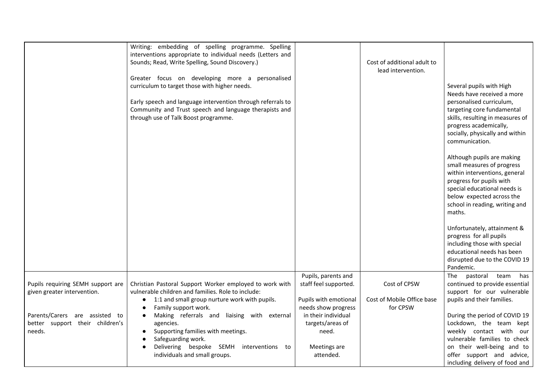|                                                                  | Writing: embedding of spelling programme. Spelling<br>interventions appropriate to individual needs (Letters and<br>Sounds; Read, Write Spelling, Sound Discovery.)<br>Greater focus on developing more a personalised<br>curriculum to target those with higher needs.<br>Early speech and language intervention through referrals to<br>Community and Trust speech and language therapists and<br>through use of Talk Boost programme. |                                              | Cost of additional adult to<br>lead intervention. | Several pupils with High<br>Needs have received a more<br>personalised curriculum,<br>targeting core fundamental<br>skills, resulting in measures of<br>progress academically,<br>socially, physically and within<br>communication.<br>Although pupils are making<br>small measures of progress<br>within interventions, general<br>progress for pupils with<br>special educational needs is<br>below expected across the<br>school in reading, writing and<br>maths.<br>Unfortunately, attainment &<br>progress for all pupils<br>including those with special<br>educational needs has been<br>disrupted due to the COVID 19 |
|------------------------------------------------------------------|------------------------------------------------------------------------------------------------------------------------------------------------------------------------------------------------------------------------------------------------------------------------------------------------------------------------------------------------------------------------------------------------------------------------------------------|----------------------------------------------|---------------------------------------------------|--------------------------------------------------------------------------------------------------------------------------------------------------------------------------------------------------------------------------------------------------------------------------------------------------------------------------------------------------------------------------------------------------------------------------------------------------------------------------------------------------------------------------------------------------------------------------------------------------------------------------------|
|                                                                  |                                                                                                                                                                                                                                                                                                                                                                                                                                          | Pupils, parents and                          | Cost of CPSW                                      | Pandemic.<br>pastoral team<br>has<br>The                                                                                                                                                                                                                                                                                                                                                                                                                                                                                                                                                                                       |
| Pupils requiring SEMH support are<br>given greater intervention. | Christian Pastoral Support Worker employed to work with<br>vulnerable children and families. Role to include:                                                                                                                                                                                                                                                                                                                            | staff feel supported.                        |                                                   | continued to provide essential<br>support for our vulnerable                                                                                                                                                                                                                                                                                                                                                                                                                                                                                                                                                                   |
| $\bullet$                                                        | 1:1 and small group nurture work with pupils.<br>Family support work.                                                                                                                                                                                                                                                                                                                                                                    | Pupils with emotional<br>needs show progress | Cost of Mobile Office base<br>for CPSW            | pupils and their families.                                                                                                                                                                                                                                                                                                                                                                                                                                                                                                                                                                                                     |
| Parents/Carers are assisted to                                   | Making referrals and liaising with external                                                                                                                                                                                                                                                                                                                                                                                              | in their individual                          |                                                   | During the period of COVID 19                                                                                                                                                                                                                                                                                                                                                                                                                                                                                                                                                                                                  |
| better support their children's<br>needs.                        | agencies.<br>Supporting families with meetings.                                                                                                                                                                                                                                                                                                                                                                                          | targets/areas of<br>need.                    |                                                   | Lockdown, the team kept<br>weekly contact with our                                                                                                                                                                                                                                                                                                                                                                                                                                                                                                                                                                             |
|                                                                  | Safeguarding work.                                                                                                                                                                                                                                                                                                                                                                                                                       |                                              |                                                   | vulnerable families to check                                                                                                                                                                                                                                                                                                                                                                                                                                                                                                                                                                                                   |
|                                                                  | Delivering bespoke SEMH interventions to                                                                                                                                                                                                                                                                                                                                                                                                 | Meetings are                                 |                                                   | on their well-being and to                                                                                                                                                                                                                                                                                                                                                                                                                                                                                                                                                                                                     |
|                                                                  | individuals and small groups.                                                                                                                                                                                                                                                                                                                                                                                                            | attended.                                    |                                                   | offer support and advice,                                                                                                                                                                                                                                                                                                                                                                                                                                                                                                                                                                                                      |